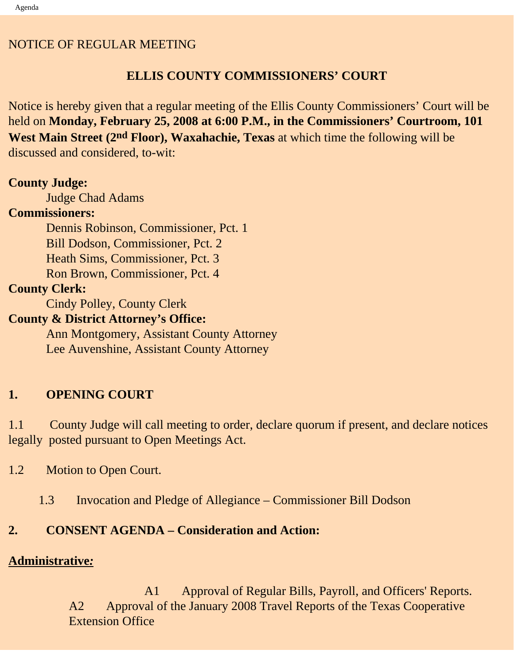### NOTICE OF REGULAR MEETING

## **ELLIS COUNTY COMMISSIONERS' COURT**

Notice is hereby given that a regular meeting of the Ellis County Commissioners' Court will be held on **Monday, February 25, 2008 at 6:00 P.M., in the Commissioners' Courtroom, 101 West Main Street (2nd Floor), Waxahachie, Texas** at which time the following will be discussed and considered, to-wit:

## **County Judge:**

Judge Chad Adams

## **Commissioners:**

 Dennis Robinson, Commissioner, Pct. 1 Bill Dodson, Commissioner, Pct. 2 Heath Sims, Commissioner, Pct. 3 Ron Brown, Commissioner, Pct. 4

# **County Clerk:**

Cindy Polley, County Clerk

## **County & District Attorney's Office:**

 Ann Montgomery, Assistant County Attorney Lee Auvenshine, Assistant County Attorney

## **1. OPENING COURT**

1.1 County Judge will call meeting to order, declare quorum if present, and declare notices legally posted pursuant to Open Meetings Act.

- 1.2 Motion to Open Court.
	- 1.3 Invocation and Pledge of Allegiance Commissioner Bill Dodson

## **2. CONSENT AGENDA – Consideration and Action:**

## **Administrative***:*

 A1 Approval of Regular Bills, Payroll, and Officers' Reports. A2 Approval of the January 2008 Travel Reports of the Texas Cooperative Extension Office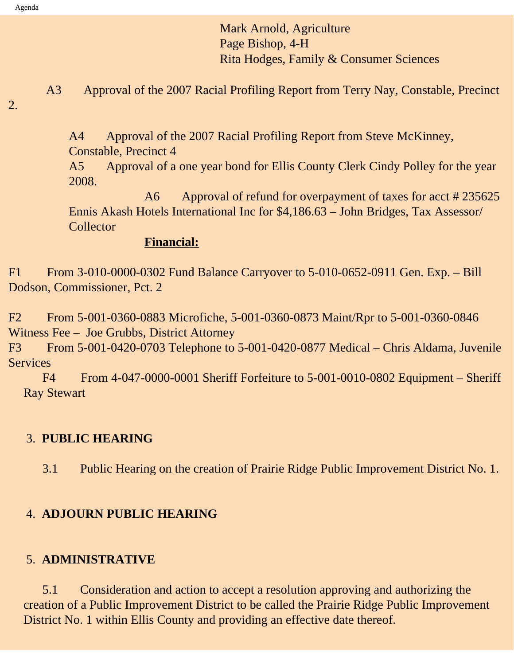Agenda

 Mark Arnold, Agriculture Page Bishop, 4-H Rita Hodges, Family & Consumer Sciences

A3 Approval of the 2007 Racial Profiling Report from Terry Nay, Constable, Precinct

2.

A4 Approval of the 2007 Racial Profiling Report from Steve McKinney,

Constable, Precinct 4

A5 Approval of a one year bond for Ellis County Clerk Cindy Polley for the year 2008.

A6 Approval of refund for overpayment of taxes for acct # 235625 Ennis Akash Hotels International Inc for \$4,186.63 – John Bridges, Tax Assessor/ Collector

#### **Financial:**

F1 From 3-010-0000-0302 Fund Balance Carryover to 5-010-0652-0911 Gen. Exp. – Bill Dodson, Commissioner, Pct. 2

F2 From 5-001-0360-0883 Microfiche, 5-001-0360-0873 Maint/Rpr to 5-001-0360-0846 Witness Fee – Joe Grubbs, District Attorney

F3 From 5-001-0420-0703 Telephone to 5-001-0420-0877 Medical – Chris Aldama, Juvenile **Services** 

F4 From 4-047-0000-0001 Sheriff Forfeiture to 5-001-0010-0802 Equipment – Sheriff Ray Stewart

#### 3. **PUBLIC HEARING**

3.1 Public Hearing on the creation of Prairie Ridge Public Improvement District No. 1.

#### 4. **ADJOURN PUBLIC HEARING**

#### 5. **ADMINISTRATIVE**

 5.1 Consideration and action to accept a resolution approving and authorizing the creation of a Public Improvement District to be called the Prairie Ridge Public Improvement District No. 1 within Ellis County and providing an effective date thereof.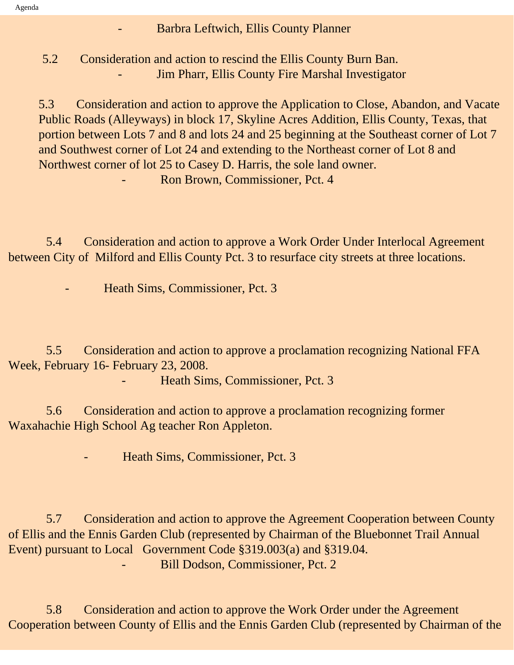- Barbra Leftwich, Ellis County Planner

 5.2 Consideration and action to rescind the Ellis County Burn Ban. Jim Pharr, Ellis County Fire Marshal Investigator

5.3 Consideration and action to approve the Application to Close, Abandon, and Vacate Public Roads (Alleyways) in block 17, Skyline Acres Addition, Ellis County, Texas, that portion between Lots 7 and 8 and lots 24 and 25 beginning at the Southeast corner of Lot 7 and Southwest corner of Lot 24 and extending to the Northeast corner of Lot 8 and Northwest corner of lot 25 to Casey D. Harris, the sole land owner. - Ron Brown, Commissioner, Pct. 4

 5.4 Consideration and action to approve a Work Order Under Interlocal Agreement between City of Milford and Ellis County Pct. 3 to resurface city streets at three locations.

Heath Sims, Commissioner, Pct. 3

 5.5 Consideration and action to approve a proclamation recognizing National FFA Week, February 16- February 23, 2008.

Heath Sims, Commissioner, Pct. 3

 5.6 Consideration and action to approve a proclamation recognizing former Waxahachie High School Ag teacher Ron Appleton.

Heath Sims, Commissioner, Pct. 3

 5.7 Consideration and action to approve the Agreement Cooperation between County of Ellis and the Ennis Garden Club (represented by Chairman of the Bluebonnet Trail Annual Event) pursuant to Local Government Code §319.003(a) and §319.04. Bill Dodson, Commissioner, Pct. 2

 5.8 Consideration and action to approve the Work Order under the Agreement Cooperation between County of Ellis and the Ennis Garden Club (represented by Chairman of the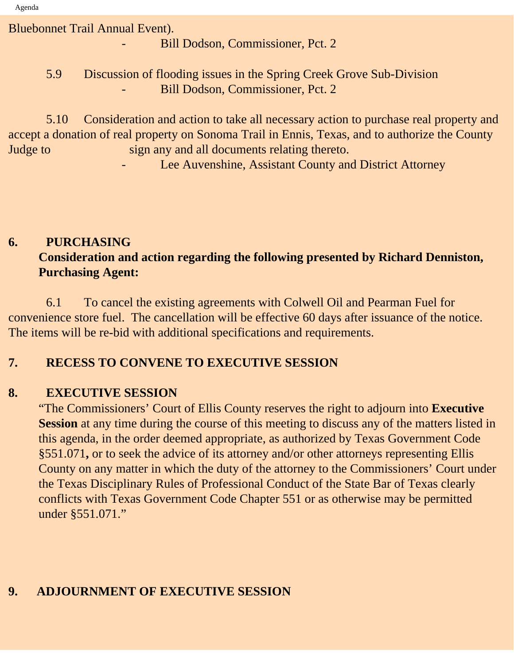Bluebonnet Trail Annual Event).

Bill Dodson, Commissioner, Pct. 2

 5.9 Discussion of flooding issues in the Spring Creek Grove Sub-Division Bill Dodson, Commissioner, Pct. 2

 5.10 Consideration and action to take all necessary action to purchase real property and accept a donation of real property on Sonoma Trail in Ennis, Texas, and to authorize the County Judge to sign any and all documents relating thereto.

Lee Auvenshine, Assistant County and District Attorney

## **6. PURCHASING Consideration and action regarding the following presented by Richard Denniston, Purchasing Agent:**

 6.1 To cancel the existing agreements with Colwell Oil and Pearman Fuel for convenience store fuel. The cancellation will be effective 60 days after issuance of the notice. The items will be re-bid with additional specifications and requirements.

### **7. RECESS TO CONVENE TO EXECUTIVE SESSION**

## **8. EXECUTIVE SESSION**

"The Commissioners' Court of Ellis County reserves the right to adjourn into **Executive Session** at any time during the course of this meeting to discuss any of the matters listed in this agenda, in the order deemed appropriate, as authorized by Texas Government Code §551.071**,** or to seek the advice of its attorney and/or other attorneys representing Ellis County on any matter in which the duty of the attorney to the Commissioners' Court under the Texas Disciplinary Rules of Professional Conduct of the State Bar of Texas clearly conflicts with Texas Government Code Chapter 551 or as otherwise may be permitted under §551.071."

## **9. ADJOURNMENT OF EXECUTIVE SESSION**